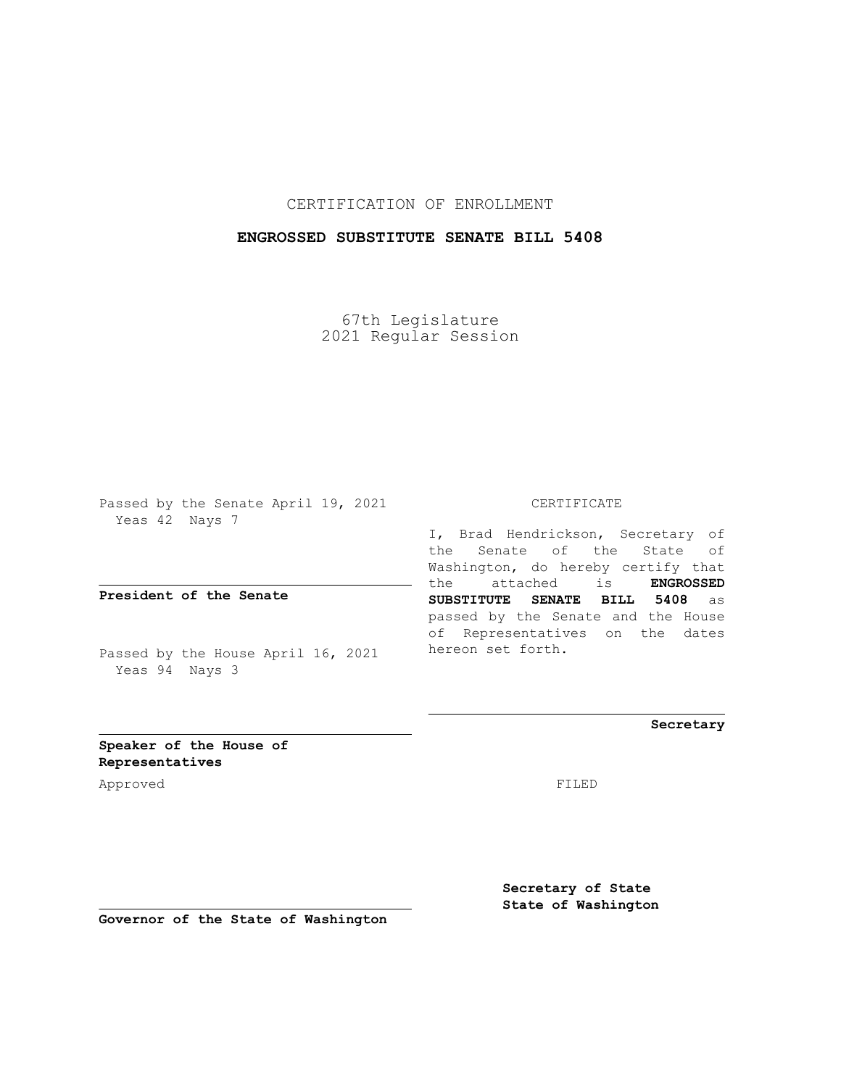## CERTIFICATION OF ENROLLMENT

## **ENGROSSED SUBSTITUTE SENATE BILL 5408**

67th Legislature 2021 Regular Session

Passed by the Senate April 19, 2021 Yeas 42 Nays 7

**President of the Senate**

Passed by the House April 16, 2021 Yeas 94 Nays 3

#### CERTIFICATE

I, Brad Hendrickson, Secretary of the Senate of the State of Washington, do hereby certify that the attached is **ENGROSSED SUBSTITUTE SENATE BILL 5408** as passed by the Senate and the House of Representatives on the dates hereon set forth.

**Secretary**

**Speaker of the House of Representatives**

Approved FILED

**Secretary of State State of Washington**

**Governor of the State of Washington**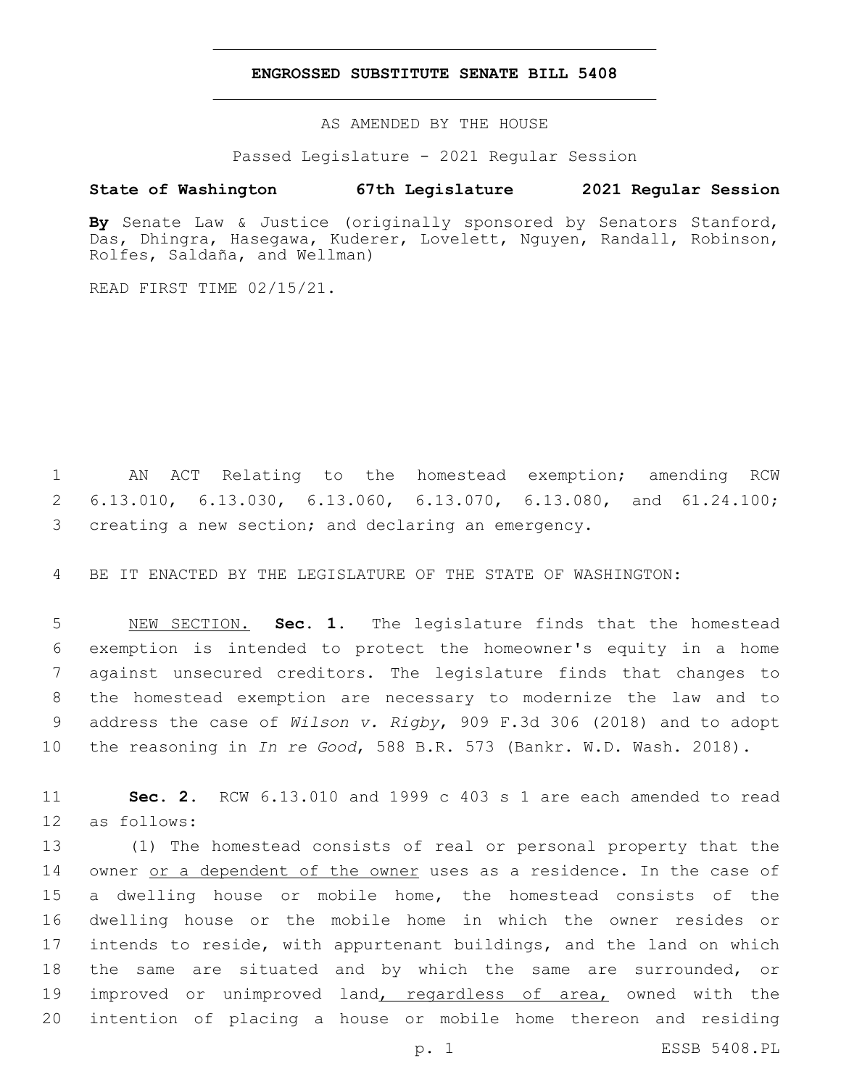### **ENGROSSED SUBSTITUTE SENATE BILL 5408**

AS AMENDED BY THE HOUSE

Passed Legislature - 2021 Regular Session

## **State of Washington 67th Legislature 2021 Regular Session**

**By** Senate Law & Justice (originally sponsored by Senators Stanford, Das, Dhingra, Hasegawa, Kuderer, Lovelett, Nguyen, Randall, Robinson, Rolfes, Saldaña, and Wellman)

READ FIRST TIME 02/15/21.

 AN ACT Relating to the homestead exemption; amending RCW 6.13.010, 6.13.030, 6.13.060, 6.13.070, 6.13.080, and 61.24.100; creating a new section; and declaring an emergency.

BE IT ENACTED BY THE LEGISLATURE OF THE STATE OF WASHINGTON:

 NEW SECTION. **Sec. 1.** The legislature finds that the homestead exemption is intended to protect the homeowner's equity in a home against unsecured creditors. The legislature finds that changes to the homestead exemption are necessary to modernize the law and to address the case of *Wilson v. Rigby*, 909 F.3d 306 (2018) and to adopt the reasoning in *In re Good*, 588 B.R. 573 (Bankr. W.D. Wash. 2018).

 **Sec. 2.** RCW 6.13.010 and 1999 c 403 s 1 are each amended to read 12 as follows:

 (1) The homestead consists of real or personal property that the owner or a dependent of the owner uses as a residence. In the case of a dwelling house or mobile home, the homestead consists of the dwelling house or the mobile home in which the owner resides or intends to reside, with appurtenant buildings, and the land on which the same are situated and by which the same are surrounded, or 19 improved or unimproved land, regardless of area, owned with the intention of placing a house or mobile home thereon and residing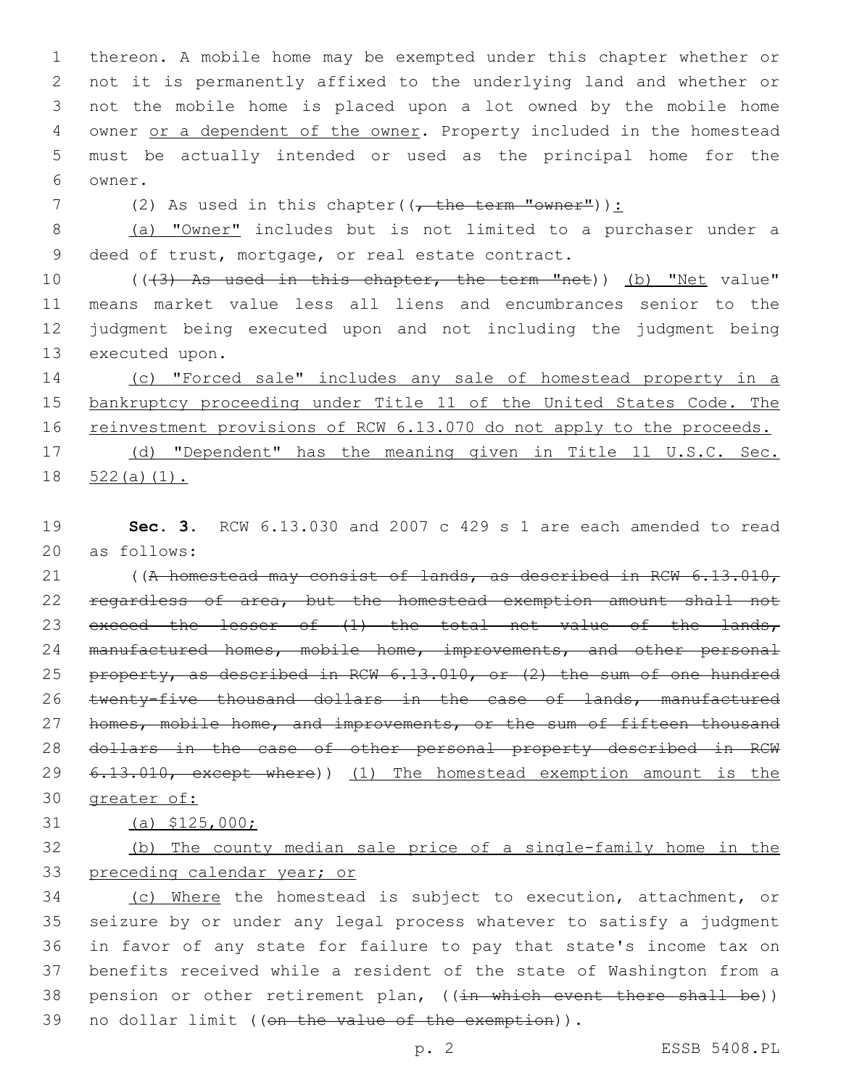thereon. A mobile home may be exempted under this chapter whether or not it is permanently affixed to the underlying land and whether or not the mobile home is placed upon a lot owned by the mobile home 4 owner or a dependent of the owner. Property included in the homestead must be actually intended or used as the principal home for the 6 owner.

7 (2) As used in this chapter((, the term "owner")):

8 (a) "Owner" includes but is not limited to a purchaser under a 9 deed of trust, mortgage, or real estate contract.

10 (((3) As used in this chapter, the term "net)) (b) "Net value" 11 means market value less all liens and encumbrances senior to the 12 judgment being executed upon and not including the judgment being 13 executed upon.

14 (c) "Forced sale" includes any sale of homestead property in a 15 bankruptcy proceeding under Title 11 of the United States Code. The 16 reinvestment provisions of RCW 6.13.070 do not apply to the proceeds. 17 (d) "Dependent" has the meaning given in Title 11 U.S.C. Sec. 18 522(a)(1).

19 **Sec. 3.** RCW 6.13.030 and 2007 c 429 s 1 are each amended to read 20 as follows:

21 ((A homestead may consist of lands, as described in RCW 6.13.010, 22 regardless of area, but the homestead exemption amount shall not 23 exceed the lesser of (1) the total net value of the lands, 24 manufactured homes, mobile home, improvements, and other personal 25 property, as described in RCW 6.13.010, or (2) the sum of one hundred 26 twenty-five thousand dollars in the case of lands, manufactured 27 homes, mobile home, and improvements, or the sum of fifteen thousand 28 dollars in the case of other personal property described in RCW 29 6.13.010, except where)) (1) The homestead exemption amount is the 30 greater of:

# 31 (a) \$125,000;

32 (b) The county median sale price of a single-family home in the 33 preceding calendar year; or

 (c) Where the homestead is subject to execution, attachment, or seizure by or under any legal process whatever to satisfy a judgment in favor of any state for failure to pay that state's income tax on benefits received while a resident of the state of Washington from a 38 pension or other retirement plan, ((in which event there shall be)) 39 no dollar limit ((on the value of the exemption)).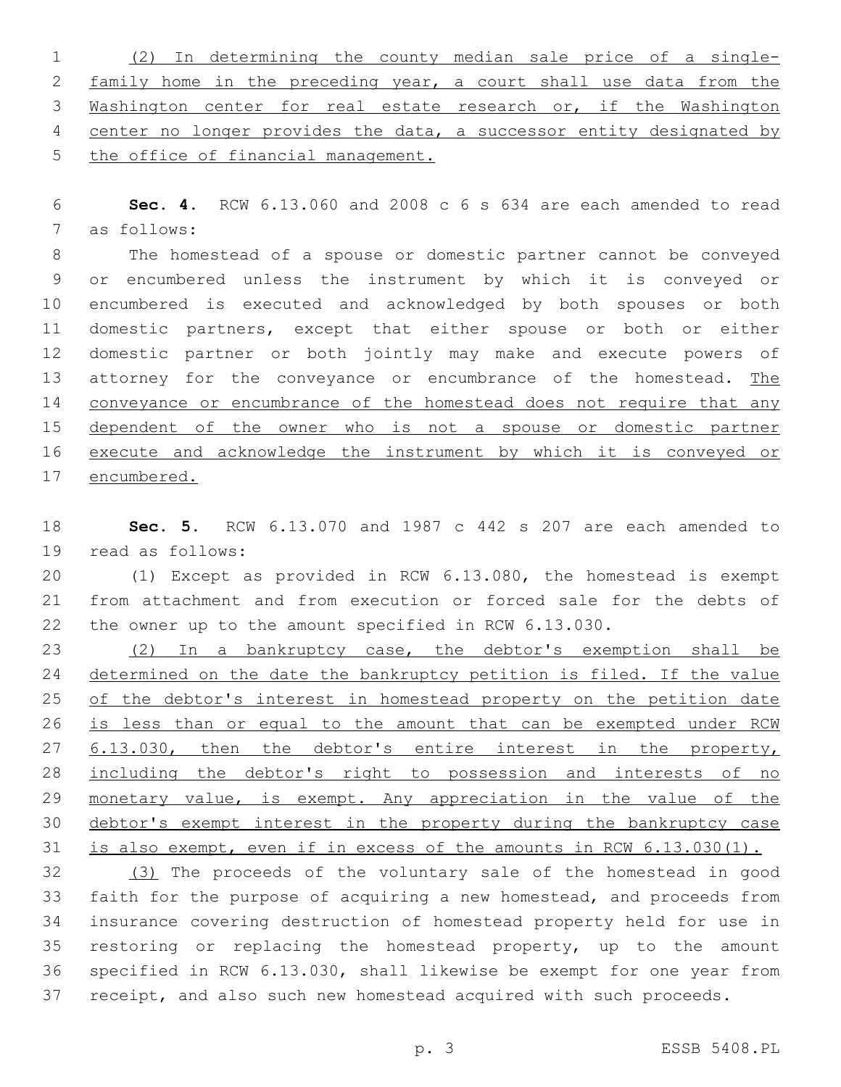(2) In determining the county median sale price of a single- family home in the preceding year, a court shall use data from the Washington center for real estate research or, if the Washington center no longer provides the data, a successor entity designated by the office of financial management.

 **Sec. 4.** RCW 6.13.060 and 2008 c 6 s 634 are each amended to read 7 as follows:

 The homestead of a spouse or domestic partner cannot be conveyed or encumbered unless the instrument by which it is conveyed or encumbered is executed and acknowledged by both spouses or both domestic partners, except that either spouse or both or either domestic partner or both jointly may make and execute powers of 13 attorney for the conveyance or encumbrance of the homestead. The 14 conveyance or encumbrance of the homestead does not require that any 15 dependent of the owner who is not a spouse or domestic partner execute and acknowledge the instrument by which it is conveyed or encumbered.

 **Sec. 5.** RCW 6.13.070 and 1987 c 442 s 207 are each amended to 19 read as follows:

 (1) Except as provided in RCW 6.13.080, the homestead is exempt from attachment and from execution or forced sale for the debts of the owner up to the amount specified in RCW 6.13.030.

 (2) In a bankruptcy case, the debtor's exemption shall be determined on the date the bankruptcy petition is filed. If the value 25 of the debtor's interest in homestead property on the petition date 26 is less than or equal to the amount that can be exempted under RCW 6.13.030, then the debtor's entire interest in the property, 28 including the debtor's right to possession and interests of no 29 monetary value, is exempt. Any appreciation in the value of the debtor's exempt interest in the property during the bankruptcy case is also exempt, even if in excess of the amounts in RCW 6.13.030(1).

 (3) The proceeds of the voluntary sale of the homestead in good faith for the purpose of acquiring a new homestead, and proceeds from insurance covering destruction of homestead property held for use in restoring or replacing the homestead property, up to the amount specified in RCW 6.13.030, shall likewise be exempt for one year from 37 receipt, and also such new homestead acquired with such proceeds.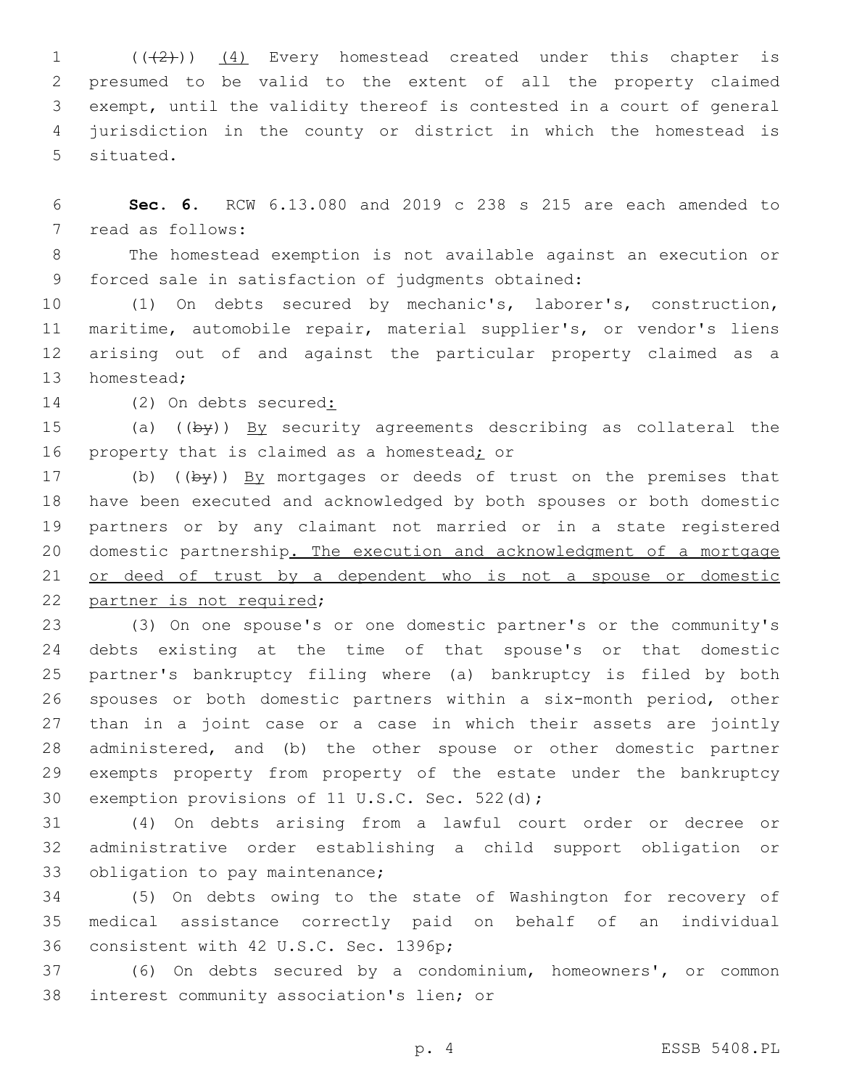$((+2))$   $(4)$  Every homestead created under this chapter is presumed to be valid to the extent of all the property claimed exempt, until the validity thereof is contested in a court of general jurisdiction in the county or district in which the homestead is 5 situated.

 **Sec. 6.** RCW 6.13.080 and 2019 c 238 s 215 are each amended to 7 read as follows:

 The homestead exemption is not available against an execution or 9 forced sale in satisfaction of judgments obtained:

 (1) On debts secured by mechanic's, laborer's, construction, maritime, automobile repair, material supplier's, or vendor's liens arising out of and against the particular property claimed as a 13 homestead;

14 (2) On debts secured:

15 (a) ((by)) By security agreements describing as collateral the 16 property that is claimed as a homestead; or

17 (b) ((by)) By mortgages or deeds of trust on the premises that have been executed and acknowledged by both spouses or both domestic partners or by any claimant not married or in a state registered domestic partnership. The execution and acknowledgment of a mortgage or deed of trust by a dependent who is not a spouse or domestic 22 partner is not required;

 (3) On one spouse's or one domestic partner's or the community's debts existing at the time of that spouse's or that domestic partner's bankruptcy filing where (a) bankruptcy is filed by both spouses or both domestic partners within a six-month period, other than in a joint case or a case in which their assets are jointly administered, and (b) the other spouse or other domestic partner exempts property from property of the estate under the bankruptcy 30 exemption provisions of 11 U.S.C. Sec. 522(d);

 (4) On debts arising from a lawful court order or decree or administrative order establishing a child support obligation or 33 obligation to pay maintenance;

 (5) On debts owing to the state of Washington for recovery of medical assistance correctly paid on behalf of an individual 36 consistent with 42 U.S.C. Sec. 1396p;

 (6) On debts secured by a condominium, homeowners', or common 38 interest community association's lien; or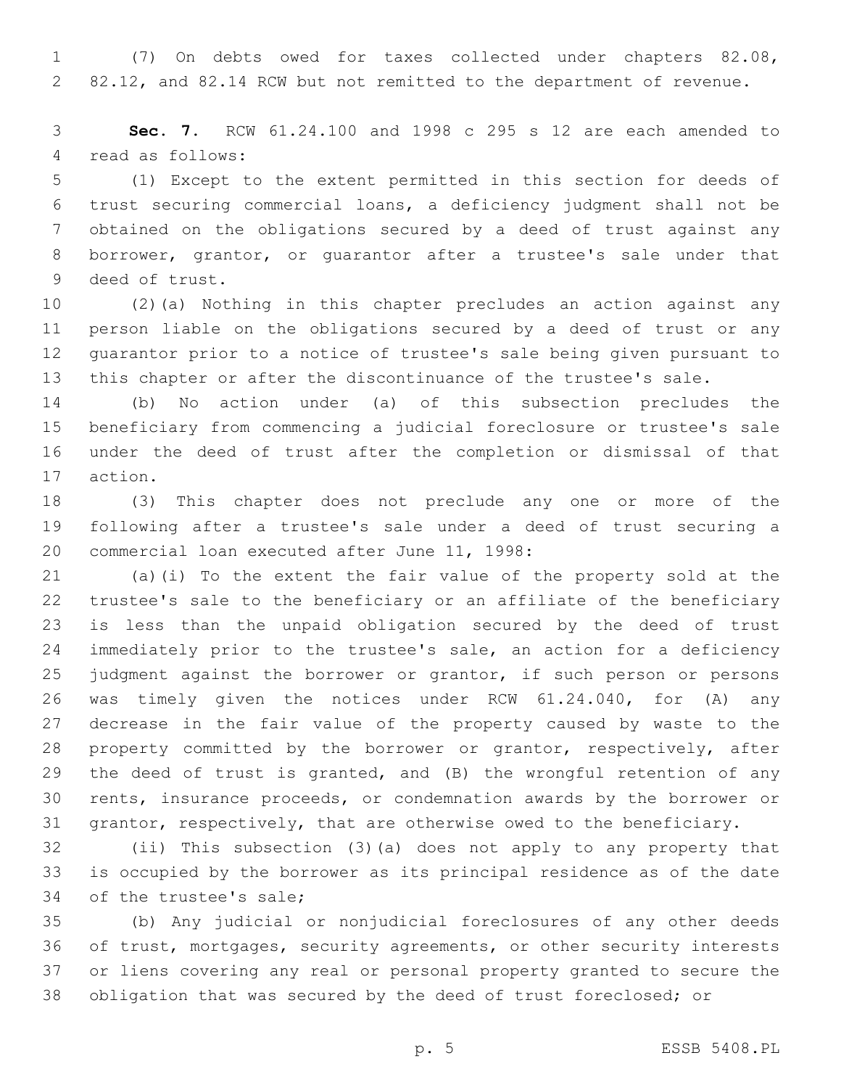(7) On debts owed for taxes collected under chapters 82.08, 82.12, and 82.14 RCW but not remitted to the department of revenue.

 **Sec. 7.** RCW 61.24.100 and 1998 c 295 s 12 are each amended to 4 read as follows:

 (1) Except to the extent permitted in this section for deeds of trust securing commercial loans, a deficiency judgment shall not be obtained on the obligations secured by a deed of trust against any borrower, grantor, or guarantor after a trustee's sale under that 9 deed of trust.

 (2)(a) Nothing in this chapter precludes an action against any person liable on the obligations secured by a deed of trust or any guarantor prior to a notice of trustee's sale being given pursuant to this chapter or after the discontinuance of the trustee's sale.

 (b) No action under (a) of this subsection precludes the beneficiary from commencing a judicial foreclosure or trustee's sale under the deed of trust after the completion or dismissal of that 17 action.

 (3) This chapter does not preclude any one or more of the following after a trustee's sale under a deed of trust securing a 20 commercial loan executed after June 11, 1998:

 (a)(i) To the extent the fair value of the property sold at the trustee's sale to the beneficiary or an affiliate of the beneficiary is less than the unpaid obligation secured by the deed of trust immediately prior to the trustee's sale, an action for a deficiency judgment against the borrower or grantor, if such person or persons was timely given the notices under RCW 61.24.040, for (A) any decrease in the fair value of the property caused by waste to the 28 property committed by the borrower or grantor, respectively, after 29 the deed of trust is granted, and (B) the wrongful retention of any rents, insurance proceeds, or condemnation awards by the borrower or grantor, respectively, that are otherwise owed to the beneficiary.

 (ii) This subsection (3)(a) does not apply to any property that is occupied by the borrower as its principal residence as of the date 34 of the trustee's sale;

 (b) Any judicial or nonjudicial foreclosures of any other deeds of trust, mortgages, security agreements, or other security interests or liens covering any real or personal property granted to secure the obligation that was secured by the deed of trust foreclosed; or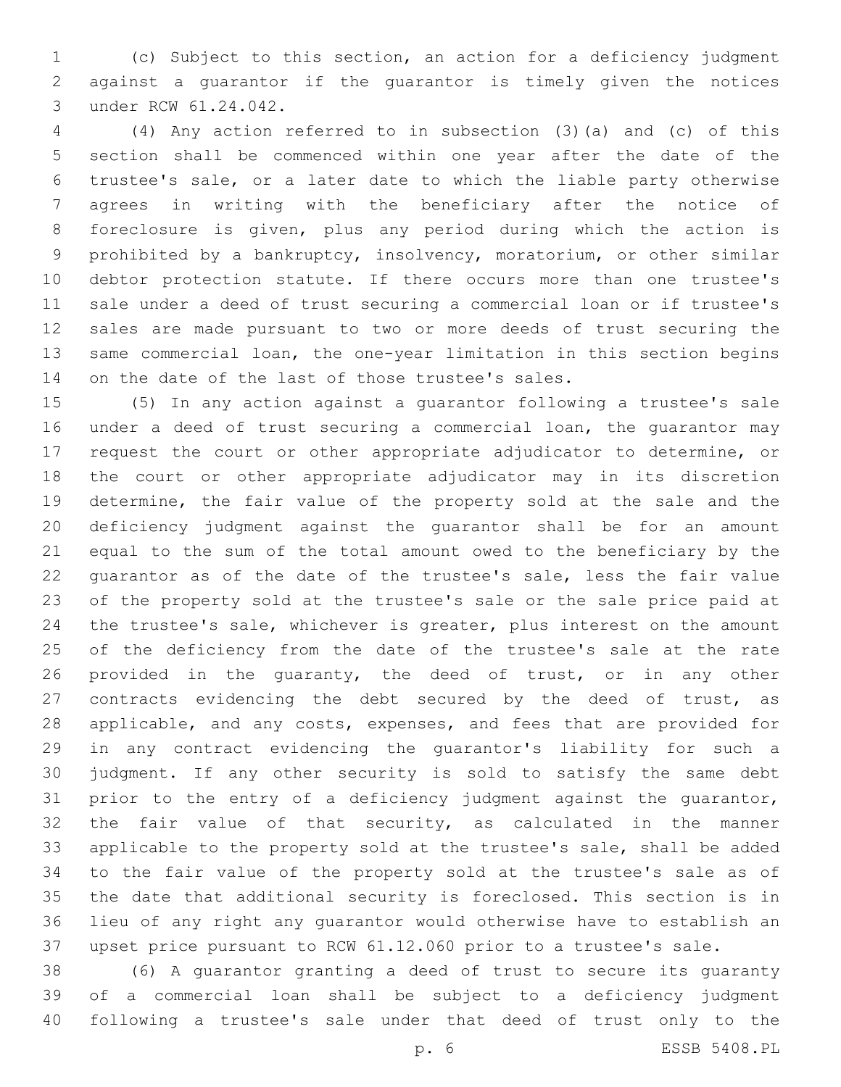(c) Subject to this section, an action for a deficiency judgment against a guarantor if the guarantor is timely given the notices 3 under RCW 61.24.042.

 (4) Any action referred to in subsection (3)(a) and (c) of this section shall be commenced within one year after the date of the trustee's sale, or a later date to which the liable party otherwise agrees in writing with the beneficiary after the notice of foreclosure is given, plus any period during which the action is prohibited by a bankruptcy, insolvency, moratorium, or other similar debtor protection statute. If there occurs more than one trustee's sale under a deed of trust securing a commercial loan or if trustee's sales are made pursuant to two or more deeds of trust securing the same commercial loan, the one-year limitation in this section begins 14 on the date of the last of those trustee's sales.

 (5) In any action against a guarantor following a trustee's sale under a deed of trust securing a commercial loan, the guarantor may request the court or other appropriate adjudicator to determine, or the court or other appropriate adjudicator may in its discretion determine, the fair value of the property sold at the sale and the deficiency judgment against the guarantor shall be for an amount equal to the sum of the total amount owed to the beneficiary by the guarantor as of the date of the trustee's sale, less the fair value of the property sold at the trustee's sale or the sale price paid at the trustee's sale, whichever is greater, plus interest on the amount 25 of the deficiency from the date of the trustee's sale at the rate provided in the guaranty, the deed of trust, or in any other 27 contracts evidencing the debt secured by the deed of trust, as applicable, and any costs, expenses, and fees that are provided for in any contract evidencing the guarantor's liability for such a judgment. If any other security is sold to satisfy the same debt prior to the entry of a deficiency judgment against the guarantor, the fair value of that security, as calculated in the manner applicable to the property sold at the trustee's sale, shall be added to the fair value of the property sold at the trustee's sale as of the date that additional security is foreclosed. This section is in lieu of any right any guarantor would otherwise have to establish an upset price pursuant to RCW 61.12.060 prior to a trustee's sale.

 (6) A guarantor granting a deed of trust to secure its guaranty of a commercial loan shall be subject to a deficiency judgment following a trustee's sale under that deed of trust only to the